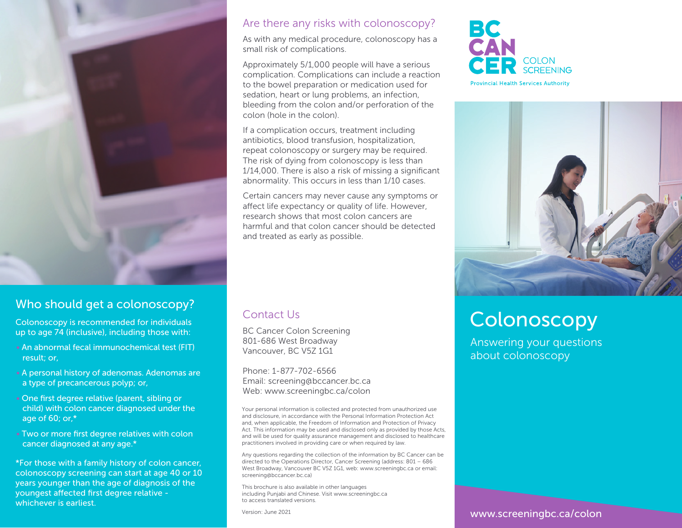

# Who should get a colonoscopy?

Colonoscopy is recommended for individuals up to age 74 (inclusive), including those with:

• An abnormal fecal immunochemical test (FIT) result; or,

• A personal history of adenomas. Adenomas are a type of precancerous polyp; or,

• One first degree relative (parent, sibling or child) with colon cancer diagnosed under the age of 60; or,\*

• Two or more first degree relatives with colon cancer diagnosed at any age.\*

\*For those with a family history of colon cancer, colonoscopy screening can start at age 40 or 10 years younger than the age of diagnosis of the youngest affected first degree relative whichever is earliest.

#### Are there any risks with colonoscopy?

As with any medical procedure, colonoscopy has a small risk of complications.

Approximately 5/1,000 people will have a serious complication. Complications can include a reaction to the bowel preparation or medication used for sedation, heart or lung problems, an infection, bleeding from the colon and/or perforation of the colon (hole in the colon).

If a complication occurs, treatment including antibiotics, blood transfusion, hospitalization, repeat colonoscopy or surgery may be required. The risk of dying from colonoscopy is less than 1/14,000. There is also a risk of missing a significant abnormality. This occurs in less than 1/10 cases.

Certain cancers may never cause any symptoms or affect life expectancy or quality of life. However, research shows that most colon cancers are harmful and that colon cancer should be detected and treated as early as possible.

#### Contact Us

BC Cancer Colon Screening 801-686 West Broadway Vancouver, BC V5Z 1G1

Phone: 1-877-702-6566 Email: screening@bccancer.bc.ca Web: www.screeningbc.ca/colon

Your personal information is collected and protected from unauthorized use and disclosure, in accordance with the Personal Information Protection Act and, when applicable, the Freedom of Information and Protection of Privacy Act. This information may be used and disclosed only as provided by those Acts, and will be used for quality assurance management and disclosed to healthcare practitioners involved in providing care or when required by law.

Any questions regarding the collection of the information by BC Cancer can be directed to the Operations Director, Cancer Screening (address: 801 – 686 West Broadway, Vancouver BC V5Z 1G1, web: www.screeningbc.ca or email: screening@bccancer.bc.ca)

This brochure is also available in other languages including Punjabi and Chinese. Visit www.screeningbc.ca to access translated versions.

Version: June 2021



**Provincial Health Services Authority** 



# **Colonoscopy**

Answering your questions about colonoscopy

www.screeningbc.ca/colon